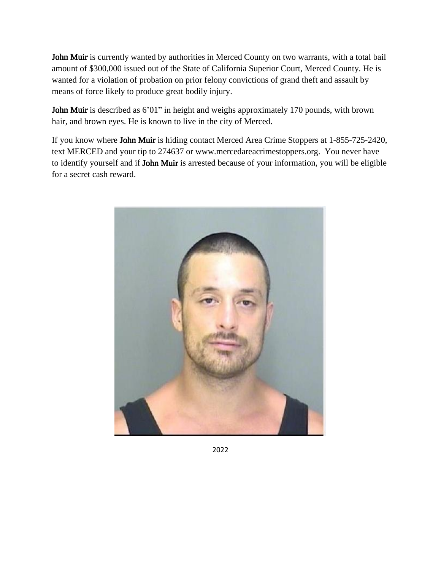John Muir is currently wanted by authorities in Merced County on two warrants, with a total bail amount of \$300,000 issued out of the State of California Superior Court, Merced County. He is wanted for a violation of probation on prior felony convictions of grand theft and assault by means of force likely to produce great bodily injury.

John Muir is described as 6'01" in height and weighs approximately 170 pounds, with brown hair, and brown eyes. He is known to live in the city of Merced.

If you know where John Muir is hiding contact Merced Area Crime Stoppers at 1-855-725-2420, text MERCED and your tip to 274637 or www.mercedareacrimestoppers.org. You never have to identify yourself and if John Muir is arrested because of your information, you will be eligible for a secret cash reward.



2022